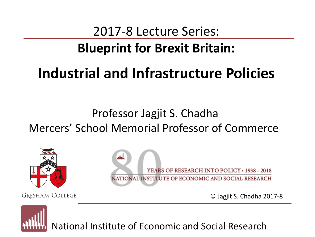# 2017-8 Lecture Series:

# **Blueprint for Brexit Britain:**

# **Industrial and Infrastructure Policies**

# Professor Jagjit S. Chadha Mercers' School Memorial Professor of Commerce



**GRESHAM COLLEGE** 

YEARS OF RESEARCH INTO POLICY • 1938 - 2018 NATIONAL INSTITUTE OF ECONOMIC AND SOCIAL RESEARCH

© Jagjit S. Chadha 2017-8

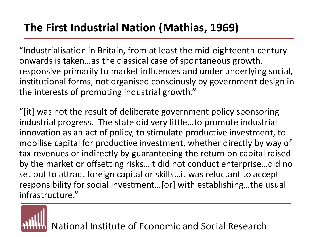# **The First Industrial Nation (Mathias, 1969)**

"Industrialisation in Britain, from at least the mid-eighteenth century onwards is taken…as the classical case of spontaneous growth, responsive primarily to market influences and under underlying social, institutional forms, not organised consciously by government design in the interests of promoting industrial growth."

"[it] was not the result of deliberate government policy sponsoring industrial progress. The state did very little…to promote industrial innovation as an act of policy, to stimulate productive investment, to mobilise capital for productive investment, whether directly by way of tax revenues or indirectly by guaranteeing the return on capital raised by the market or offsetting risks…it did not conduct enterprise…did no set out to attract foreign capital or skills…it was reluctant to accept responsibility for social investment…[or] with establishing…the usual infrastructure."

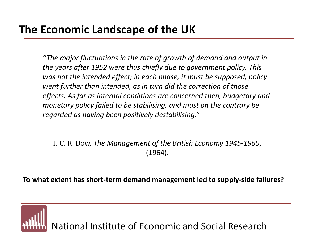# **The Economic Landscape of the UK**

*"The major fluctuations in the rate of growth of demand and output in the years after 1952 were thus chiefly due to government policy. This was not the intended effect; in each phase, it must be supposed, policy went further than intended, as in turn did the correction of those effects. As far as internal conditions are concerned then, budgetary and monetary policy failed to be stabilising, and must on the contrary be regarded as having been positively destabilising."*

J. C. R. Dow, *The Management of the British Economy 1945-1960*, (1964).

**To what extent has short-term demand management led to supply-side failures?**

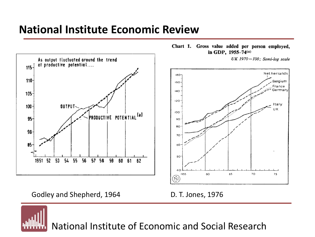## **National Institute Economic Review**



Chart 1. Gross value added per person employed, in GDP, 1955-74(a)

UK 1970=100; Semi-log scale



Godley and Shepherd, 1964 D. T. Jones, 1976

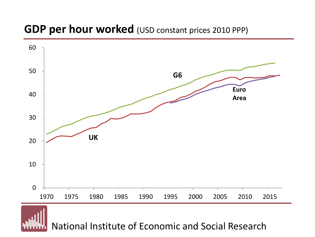## **GDP per hour worked** (USD constant prices 2010 PPP)

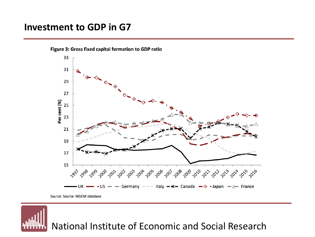#### **Investment to GDP in G7**



Figure 3: Gross fixed capital formation to GDP ratio

Source: Source: NiGEM database

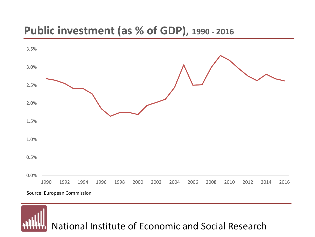## **Public investment (as % of GDP), 1990 - 2016**



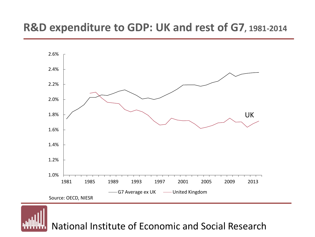## **R&D expenditure to GDP: UK and rest of G7, 1981-2014**



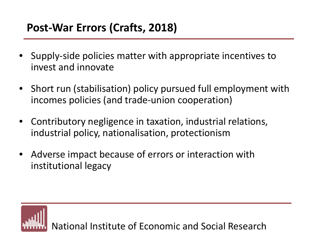# **Post-War Errors (Crafts, 2018)**

- Supply-side policies matter with appropriate incentives to invest and innovate
- Short run (stabilisation) policy pursued full employment with incomes policies (and trade-union cooperation)
- Contributory negligence in taxation, industrial relations, industrial policy, nationalisation, protectionism
- Adverse impact because of errors or interaction with institutional legacy

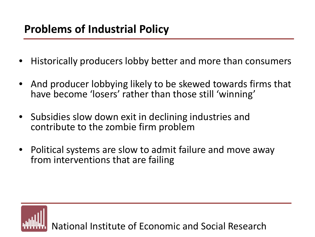# **Problems of Industrial Policy**

- Historically producers lobby better and more than consumers
- And producer lobbying likely to be skewed towards firms that have become 'losers' rather than those still 'winning'
- Subsidies slow down exit in declining industries and contribute to the zombie firm problem
- Political systems are slow to admit failure and move away from interventions that are failing

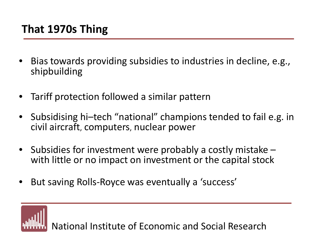## **That 1970s Thing**

- Bias towards providing subsidies to industries in decline, e.g., shipbuilding
- Tariff protection followed a similar pattern
- Subsidising hi–tech "national" champions tended to fail e.g. in civil aircraft, computers, nuclear power
- Subsidies for investment were probably a costly mistake with little or no impact on investment or the capital stock
- But saving Rolls-Royce was eventually a 'success'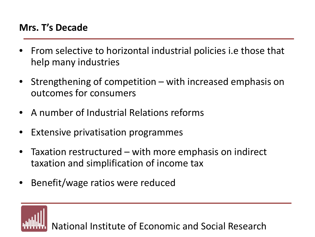#### **Mrs. T's Decade**

- From selective to horizontal industrial policies i.e those that help many industries
- Strengthening of competition with increased emphasis on outcomes for consumers
- A number of Industrial Relations reforms
- Extensive privatisation programmes
- Taxation restructured with more emphasis on indirect taxation and simplification of income tax
- Benefit/wage ratios were reduced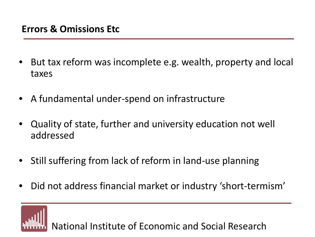- But tax reform was incomplete e.g. wealth, property and local taxes
- A fundamental under-spend on infrastructure
- Quality of state, further and university education not well addressed
- Still suffering from lack of reform in land-use planning
- Did not address financial market or industry 'short-termism'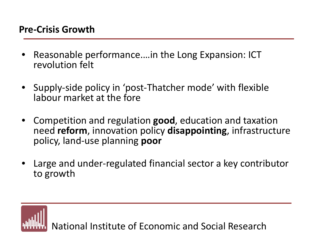- Reasonable performance.…in the Long Expansion: ICT revolution felt
- Supply-side policy in 'post-Thatcher mode' with flexible labour market at the fore
- Competition and regulation **good**, education and taxation need **reform**, innovation policy **disappointing**, infrastructure policy, land-use planning **poor**
- Large and under-regulated financial sector a key contributor to growth

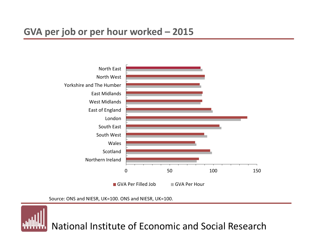

Source: ONS and NIESR, UK=100. ONS and NIESR, UK=100.

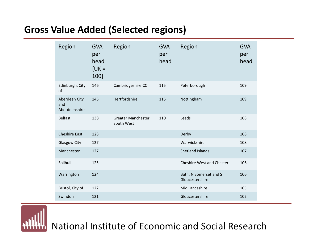### **Gross Value Added (Selected regions)**

| Region                                | <b>GVA</b><br>per<br>head<br>$[UK =$<br>100] | Region                           | <b>GVA</b><br>per<br>head | Region                                    | <b>GVA</b><br>per<br>head |
|---------------------------------------|----------------------------------------------|----------------------------------|---------------------------|-------------------------------------------|---------------------------|
| Edinburgh, City<br>of                 | 146                                          | Cambridgeshire CC                | 115                       | Peterborough                              | 109                       |
| Aberdeen City<br>and<br>Aberdeenshire | 145                                          | Hertfordshire                    | 115                       | Nottingham                                | 109                       |
| Belfast                               | 138                                          | Greater Manchester<br>South West | 110                       | Leeds                                     | 108                       |
| <b>Cheshire East</b>                  | 128                                          |                                  |                           | Derby                                     | 108                       |
| Glasgow City                          | 127                                          |                                  |                           | Warwickshire                              | 108                       |
| Manchester                            | 127                                          |                                  |                           | Shetland Islands                          | 107                       |
| Solihull                              | 125                                          |                                  |                           | <b>Cheshire West and Chester</b>          | 106                       |
| Warrington                            | 124                                          |                                  |                           | Bath, N Somerset and S<br>Gloucestershire | 106                       |
| Bristol, City of                      | 122                                          |                                  |                           | Mid Lancashire                            | 105                       |
| Swindon                               | 121                                          |                                  |                           | Gloucestershire                           | 102                       |

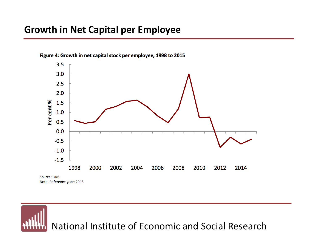#### **Growth in Net Capital per Employee**



Figure 4: Growth in net capital stock per employee, 1998 to 2015

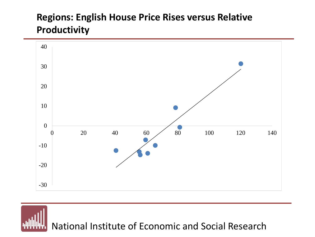### **Regions: English House Price Rises versus Relative Productivity**

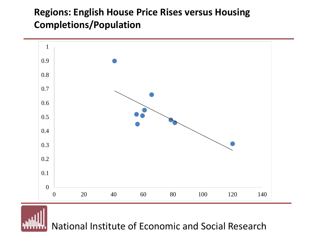### **Regions: English House Price Rises versus Housing Completions/Population**



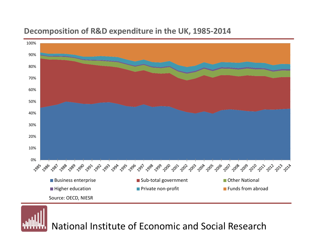

#### **Decomposition of R&D expenditure in the UK, 1985-2014**

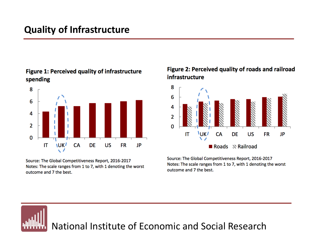#### Figure 1: Perceived quality of infrastructure spending



Source: The Global Competitiveness Report, 2016-2017 Notes: The scale ranges from 1 to 7, with 1 denoting the worst outcome and 7 the best.

#### Figure 2: Perceived quality of roads and railroad infrastructure



Source: The Global Competitiveness Report, 2016-2017 Notes: The scale ranges from 1 to 7, with 1 denoting the worst outcome and 7 the best.

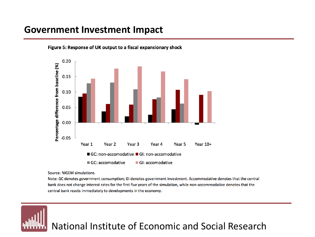#### **Government Investment Impact**



Figure 5: Response of UK output to a fiscal expansionary shock

Source: NiGEM simulations.

Note: GC denotes government consumption; GI denotes government investment. Accommodative denotes that the central bank does not change interest rates for the first five years of the simulation, while non-accommodative denotes that the central bank reacts immediately to developments in the economy.

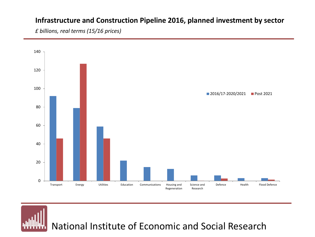#### **Infrastructure and Construction Pipeline 2016, planned investment by sector**

*£ billions, real terms (15/16 prices)*

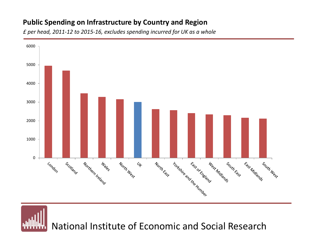#### **Public Spending on Infrastructure by Country and Region**

*£ per head, 2011-12 to 2015-16, excludes spending incurred for UK as a whole*

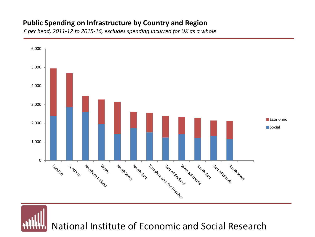#### **Public Spending on Infrastructure by Country and Region**

*£ per head, 2011-12 to 2015-16, excludes spending incurred for UK as a whole*

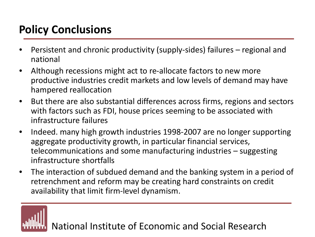# **Policy Conclusions**

- Persistent and chronic productivity (supply-sides) failures regional and national
- Although recessions might act to re-allocate factors to new more productive industries credit markets and low levels of demand may have hampered reallocation
- But there are also substantial differences across firms, regions and sectors with factors such as FDI, house prices seeming to be associated with infrastructure failures
- Indeed. many high growth industries 1998-2007 are no longer supporting aggregate productivity growth, in particular financial services, telecommunications and some manufacturing industries – suggesting infrastructure shortfalls
- The interaction of subdued demand and the banking system in a period of retrenchment and reform may be creating hard constraints on credit availability that limit firm-level dynamism.